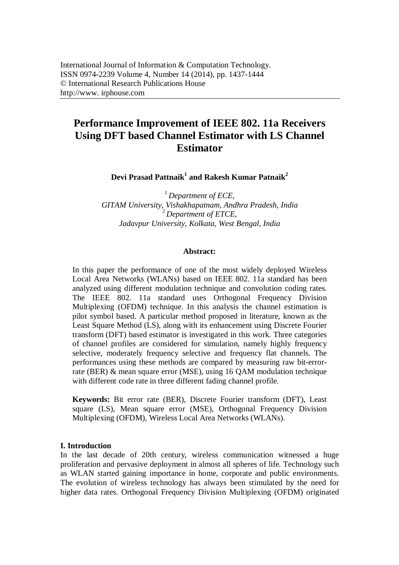# **Performance Improvement of IEEE 802. 11a Receivers Using DFT based Channel Estimator with LS Channel Estimator**

**Devi Prasad Pattnaik<sup>1</sup> and Rakesh Kumar Patnaik<sup>2</sup>**

*<sup>1</sup>Department of ECE, GITAM University, Vishakhapatnam, Andhra Pradesh, India <sup>2</sup>Department of ETCE, Jadavpur University, Kolkata, West Bengal, India*

## **Abstract:**

In this paper the performance of one of the most widely deployed Wireless Local Area Networks (WLANs) based on IEEE 802. 11a standard has been analyzed using different modulation technique and convolution coding rates. The IEEE 802. 11a standard uses Orthogonal Frequency Division Multiplexing (OFDM) technique. In this analysis the channel estimation is pilot symbol based. A particular method proposed in literature, known as the Least Square Method (LS), along with its enhancement using Discrete Fourier transform (DFT) based estimator is investigated in this work. Three categories of channel profiles are considered for simulation, namely highly frequency selective, moderately frequency selective and frequency flat channels. The performances using these methods are compared by measuring raw bit-errorrate (BER) & mean square error (MSE), using 16 QAM modulation technique with different code rate in three different fading channel profile.

**Keywords:** Bit error rate (BER), Discrete Fourier transform (DFT), Least square (LS), Mean square error (MSE), Orthogonal Frequency Division Multiplexing (OFDM), Wireless Local Area Networks (WLANs).

## **I. Introduction**

In the last decade of 20th century, wireless communication witnessed a huge proliferation and pervasive deployment in almost all spheres of life. Technology such as WLAN started gaining importance in home, corporate and public environments. The evolution of wireless technology has always been stimulated by the need for higher data rates. Orthogonal Frequency Division Multiplexing (OFDM) originated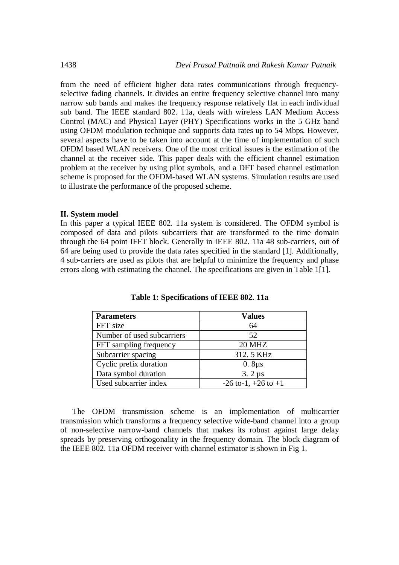from the need of efficient higher data rates communications through frequencyselective fading channels. It divides an entire frequency selective channel into many narrow sub bands and makes the frequency response relatively flat in each individual sub band. The IEEE standard 802. 11a, deals with wireless LAN Medium Access Control (MAC) and Physical Layer (PHY) Specifications works in the 5 GHz band using OFDM modulation technique and supports data rates up to 54 Mbps. However, several aspects have to be taken into account at the time of implementation of such OFDM based WLAN receivers. One of the most critical issues is the estimation of the channel at the receiver side. This paper deals with the efficient channel estimation problem at the receiver by using pilot symbols, and a DFT based channel estimation scheme is proposed for the OFDM-based WLAN systems. Simulation results are used to illustrate the performance of the proposed scheme.

## **II. System model**

In this paper a typical IEEE 802. 11a system is considered. The OFDM symbol is composed of data and pilots subcarriers that are transformed to the time domain through the 64 point IFFT block. Generally in IEEE 802. 11a 48 sub-carriers, out of 64 are being used to provide the data rates specified in the standard [1]. Additionally, 4 sub-carriers are used as pilots that are helpful to minimize the frequency and phase errors along with estimating the channel. The specifications are given in Table 1[1].

| <b>Parameters</b>          | <b>Values</b>             |
|----------------------------|---------------------------|
| FFT size                   | 64                        |
| Number of used subcarriers | 52                        |
| FFT sampling frequency     | <b>20 MHZ</b>             |
| Subcarrier spacing         | 312.5 KHz                 |
| Cyclic prefix duration     | $0.8\mu s$                |
| Data symbol duration       | $3.2 \mu s$               |
| Used subcarrier index      | $-26$ to-1, $+26$ to $+1$ |

**Table 1: Specifications of IEEE 802. 11a**

The OFDM transmission scheme is an implementation of multicarrier transmission which transforms a frequency selective wide-band channel into a group of non-selective narrow-band channels that makes its robust against large delay spreads by preserving orthogonality in the frequency domain. The block diagram of the IEEE 802. 11a OFDM receiver with channel estimator is shown in Fig 1.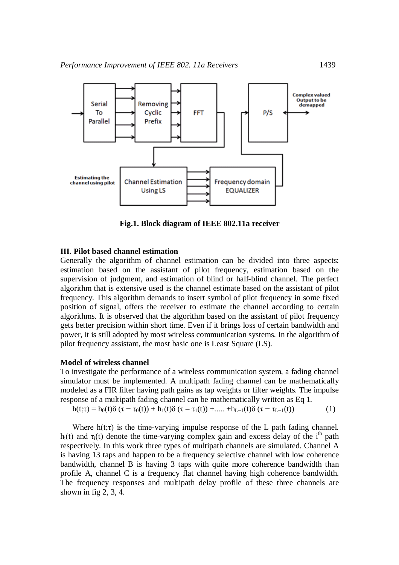

**Fig.1. Block diagram of IEEE 802.11a receiver**

## **III. Pilot based channel estimation**

Generally the algorithm of channel estimation can be divided into three aspects: estimation based on the assistant of pilot frequency, estimation based on the supervision of judgment, and estimation of blind or half-blind channel. The perfect algorithm that is extensive used is the channel estimate based on the assistant of pilot frequency. This algorithm demands to insert symbol of pilot frequency in some fixed position of signal, offers the receiver to estimate the channel according to certain algorithms. It is observed that the algorithm based on the assistant of pilot frequency gets better precision within short time. Even if it brings loss of certain bandwidth and power, it is still adopted by most wireless communication systems. In the algorithm of pilot frequency assistant, the most basic one is Least Square (LS).

#### **Model of wireless channel**

To investigate the performance of a wireless communication system, a fading channel simulator must be implemented. A multipath fading channel can be mathematically modeled as a FIR filter having path gains as tap weights or filter weights. The impulse response of a multipath fading channel can be mathematically written as Eq 1.

 $h(t;\tau) = h_0(t)\delta(\tau - \tau_0(t)) + h_1(t)\delta(\tau - \tau_1(t)) + \dots + h_{L-1}(t)\delta(\tau - \tau_{L-1}(t))$  (1)

Where  $h(t;\tau)$  is the time-varying impulse response of the L path fading channel. h<sub>i</sub>(t) and  $\tau_i$ (t) denote the time-varying complex gain and excess delay of the i<sup>th</sup> path respectively. In this work three types of multipath channels are simulated. Channel A is having 13 taps and happen to be a frequency selective channel with low coherence bandwidth, channel B is having 3 taps with quite more coherence bandwidth than profile A, channel C is a frequency flat channel having high coherence bandwidth. The frequency responses and multipath delay profile of these three channels are shown in fig 2, 3, 4.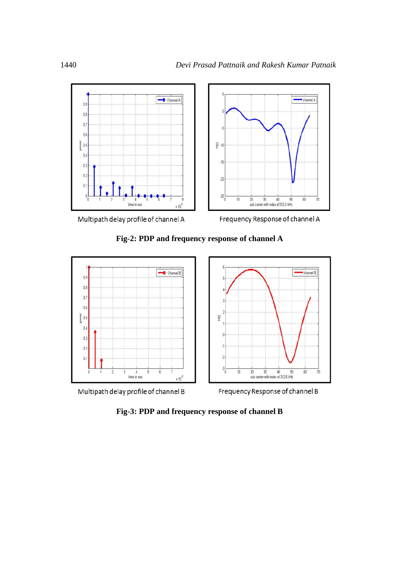

Frequency Response of channel A





**Fig-3: PDP and frequency response of channel B**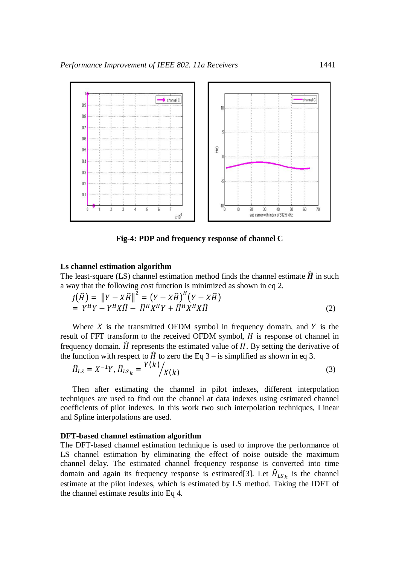

**Fig-4: PDP and frequency response of channel C**

## **Ls channel estimation algorithm**

The least-square (LS) channel estimation method finds the channel estimate  $\hat{H}$  in such a way that the following cost function is minimized as shown in eq 2.

$$
j(\widehat{H}) = ||Y - X\widehat{H}||^{2} = (Y - X\widehat{H})^{H}(Y - X\widehat{H})
$$
  
=  $Y^{H}Y - Y^{H}X\widehat{H} - \widehat{H}^{H}X^{H}Y + \widehat{H}^{H}X^{H}X\widehat{H}$  (2)

Where  $X$  is the transmitted OFDM symbol in frequency domain, and  $Y$  is the result of FFT transform to the received OFDM symbol,  $H$  is response of channel in frequency domain.  $\hat{H}$  represents the estimated value of  $H$ . By setting the derivative of the function with respect to  $\hat{H}$  to zero the Eq 3 – is simplified as shown in eq 3.

$$
\widehat{H}_{LS} = X^{-1}Y, \widehat{H}_{LSk} = \frac{Y(k)}{X(k)}\tag{3}
$$

Then after estimating the channel in pilot indexes, different interpolation techniques are used to find out the channel at data indexes using estimated channel coefficients of pilot indexes. In this work two such interpolation techniques, Linear and Spline interpolations are used.

## **DFT-based channel estimation algorithm**

The DFT-based channel estimation technique is used to improve the performance of LS channel estimation by eliminating the effect of noise outside the maximum channel delay. The estimated channel frequency response is converted into time domain and again its frequency response is estimated [3]. Let  $\widehat{H}_{LS_k}$  is the channel estimate at the pilot indexes, which is estimated by LS method. Taking the IDFT of the channel estimate results into Eq 4.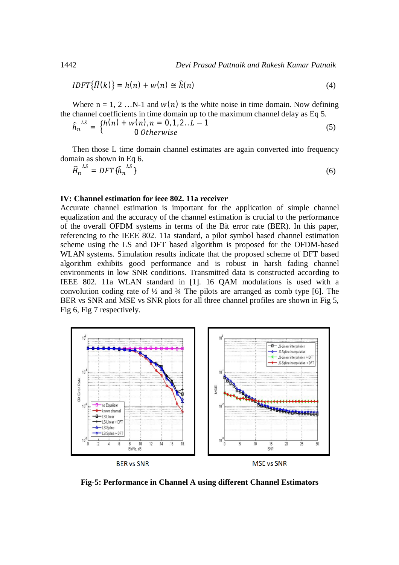$$
IDFT{\widehat{H}(k)} = h(n) + w(n) \cong \widehat{h}(n)
$$
\n(4)

Where  $n = 1, 2, \ldots N-1$  and  $w(n)$  is the white noise in time domain. Now defining the channel coefficients in time domain up to the maximum channel delay as Eq 5.

$$
\hat{h}_n^{LS} = \begin{cases} h(n) + w(n), n = 0, 1, 2, L - 1 \\ 0 \text{ Otherwise} \end{cases}
$$
\n(5)

Then those L time domain channel estimates are again converted into frequency domain as shown in Eq 6.

$$
\widehat{H}_n^{\text{LS}} = DFT\{\widehat{h}_n^{\text{LS}}\}\tag{6}
$$

#### **IV: Channel estimation for ieee 802. 11a receiver**

Accurate channel estimation is important for the application of simple channel equalization and the accuracy of the channel estimation is crucial to the performance of the overall OFDM systems in terms of the Bit error rate (BER). In this paper, referencing to the IEEE 802. 11a standard, a pilot symbol based channel estimation scheme using the LS and DFT based algorithm is proposed for the OFDM-based WLAN systems. Simulation results indicate that the proposed scheme of DFT based algorithm exhibits good performance and is robust in harsh fading channel environments in low SNR conditions. Transmitted data is constructed according to IEEE 802. 11a WLAN standard in [1]. 16 QAM modulations is used with a convolution coding rate of  $\frac{1}{2}$  and  $\frac{3}{4}$  The pilots are arranged as comb type [6]. The BER vs SNR and MSE vs SNR plots for all three channel profiles are shown in Fig 5, Fig 6, Fig 7 respectively.



**Fig-5: Performance in Channel A using different Channel Estimators**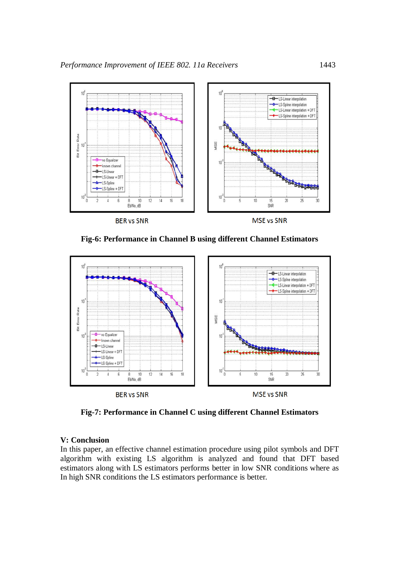

**Fig-6: Performance in Channel B using different Channel Estimators**



**Fig-7: Performance in Channel C using different Channel Estimators**

## **V: Conclusion**

In this paper, an effective channel estimation procedure using pilot symbols and DFT algorithm with existing LS algorithm is analyzed and found that DFT based estimators along with LS estimators performs better in low SNR conditions where as In high SNR conditions the LS estimators performance is better.